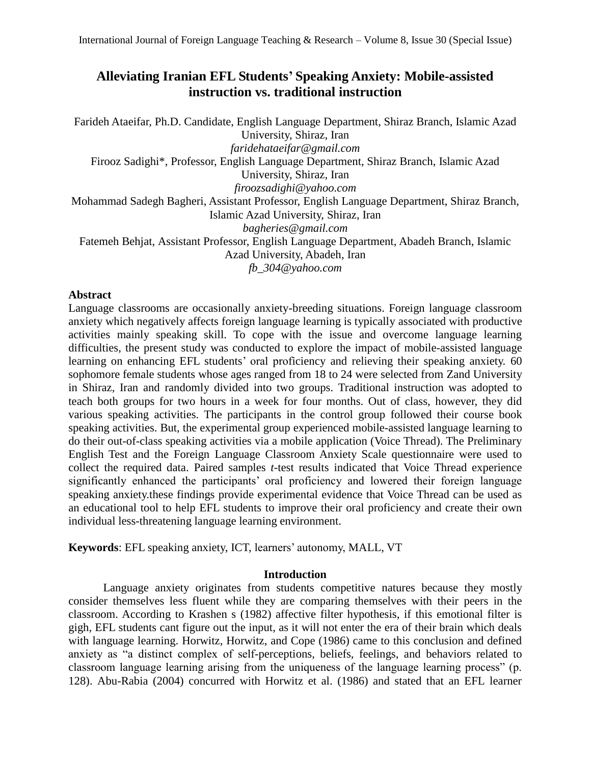# **Alleviating Iranian EFL Students' Speaking Anxiety: Mobile-assisted instruction vs. traditional instruction**

Farideh Ataeifar, Ph.D. Candidate, English Language Department, Shiraz Branch, Islamic Azad University, Shiraz, Iran *[faridehataeifar@gmail.com](mailto:faridehataeifar@gmail.com)* Firooz Sadighi\*, Professor, English Language Department, Shiraz Branch, Islamic Azad University, Shiraz, Iran *[firoozsadighi@yahoo.com](mailto:firoozsadighi@yahoo.com)* Mohammad Sadegh Bagheri, Assistant Professor, English Language Department, Shiraz Branch, Islamic Azad University, Shiraz, Iran *[bagheries@gmail.com](mailto:bagheries@gmail.com)* Fatemeh Behjat, Assistant Professor, English Language Department, Abadeh Branch, Islamic Azad University, Abadeh, Iran *[fb\\_304@yahoo.com](mailto:fb_304@yahoo.com)*

# **Abstract**

Language classrooms are occasionally anxiety-breeding situations. Foreign language classroom anxiety which negatively affects foreign language learning is typically associated with productive activities mainly speaking skill. To cope with the issue and overcome language learning difficulties, the present study was conducted to explore the impact of mobile-assisted language learning on enhancing EFL students' oral proficiency and relieving their speaking anxiety. 60 sophomore female students whose ages ranged from 18 to 24 were selected from Zand University in Shiraz, Iran and randomly divided into two groups. Traditional instruction was adopted to teach both groups for two hours in a week for four months. Out of class, however, they did various speaking activities. The participants in the control group followed their course book speaking activities. But, the experimental group experienced mobile-assisted language learning to do their out-of-class speaking activities via a mobile application (Voice Thread). The Preliminary English Test and the Foreign Language Classroom Anxiety Scale questionnaire were used to collect the required data. Paired samples *t-*test results indicated that Voice Thread experience significantly enhanced the participants' oral proficiency and lowered their foreign language speaking anxiety.these findings provide experimental evidence that Voice Thread can be used as an educational tool to help EFL students to improve their oral proficiency and create their own individual less-threatening language learning environment.

**Keywords**: EFL speaking anxiety, ICT, learners' autonomy, MALL, VT

# **Introduction**

Language anxiety originates from students competitive natures because they mostly consider themselves less fluent while they are comparing themselves with their peers in the classroom. According to Krashen s (1982) affective filter hypothesis, if this emotional filter is gigh, EFL students cant figure out the input, as it will not enter the era of their brain which deals with language learning. Horwitz, Horwitz, and Cope (1986) came to this conclusion and defined anxiety as "a distinct complex of self-perceptions, beliefs, feelings, and behaviors related to classroom language learning arising from the uniqueness of the language learning process" (p. 128). Abu-Rabia (2004) concurred with Horwitz et al. (1986) and stated that an EFL learner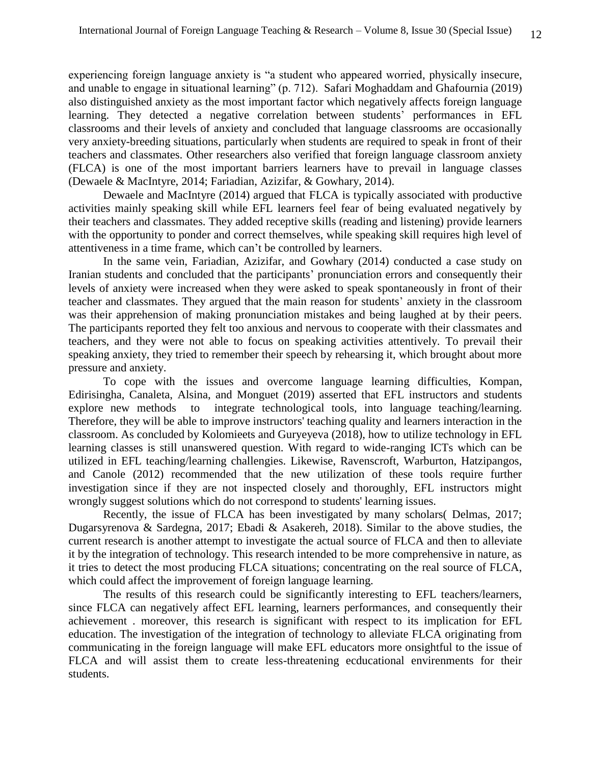experiencing foreign language anxiety is "a student who appeared worried, physically insecure, and unable to engage in situational learning" (p. 712). Safari Moghaddam and Ghafournia (2019) also distinguished anxiety as the most important factor which negatively affects foreign language learning. They detected a negative correlation between students' performances in EFL classrooms and their levels of anxiety and concluded that language classrooms are occasionally very anxiety-breeding situations, particularly when students are required to speak in front of their teachers and classmates. Other researchers also verified that foreign language classroom anxiety (FLCA) is one of the most important barriers learners have to prevail in language classes (Dewaele & MacIntyre, 2014; Fariadian, Azizifar, & Gowhary, 2014).

 Dewaele and MacIntyre (2014) argued that FLCA is typically associated with productive activities mainly speaking skill while EFL learners feel fear of being evaluated negatively by their teachers and classmates. They added receptive skills (reading and listening) provide learners with the opportunity to ponder and correct themselves, while speaking skill requires high level of attentiveness in a time frame, which can't be controlled by learners.

 In the same vein, Fariadian, Azizifar, and Gowhary (2014) conducted a case study on Iranian students and concluded that the participants' pronunciation errors and consequently their levels of anxiety were increased when they were asked to speak spontaneously in front of their teacher and classmates. They argued that the main reason for students' anxiety in the classroom was their apprehension of making pronunciation mistakes and being laughed at by their peers. The participants reported they felt too anxious and nervous to cooperate with their classmates and teachers, and they were not able to focus on speaking activities attentively. To prevail their speaking anxiety, they tried to remember their speech by rehearsing it, which brought about more pressure and anxiety.

To cope with the issues and overcome language learning difficulties, Kompan, Edirisingha, Canaleta, Alsina, and Monguet (2019) asserted that EFL instructors and students explore new methods to integrate technological tools, into language teaching/learning. Therefore, they will be able to improve instructors' teaching quality and learners interaction in the classroom. As concluded by Kolomieets and Guryeyeva (2018), how to utilize technology in EFL learning classes is still unanswered question. With regard to wide-ranging ICTs which can be utilized in EFL teaching/learning challengies. Likewise, Ravenscroft, Warburton, Hatzipangos, and Canole (2012) recommended that the new utilization of these tools require further investigation since if they are not inspected closely and thoroughly, EFL instructors might wrongly suggest solutions which do not correspond to students' learning issues.

Recently, the issue of FLCA has been investigated by many scholars( Delmas, 2017; Dugarsyrenova & Sardegna, 2017; Ebadi & Asakereh, 2018). Similar to the above studies, the current research is another attempt to investigate the actual source of FLCA and then to alleviate it by the integration of technology. This research intended to be more comprehensive in nature, as it tries to detect the most producing FLCA situations; concentrating on the real source of FLCA, which could affect the improvement of foreign language learning.

The results of this research could be significantly interesting to EFL teachers/learners, since FLCA can negatively affect EFL learning, learners performances, and consequently their achievement . moreover, this research is significant with respect to its implication for EFL education. The investigation of the integration of technology to alleviate FLCA originating from communicating in the foreign language will make EFL educators more onsightful to the issue of FLCA and will assist them to create less-threatening ecducational envirenments for their students.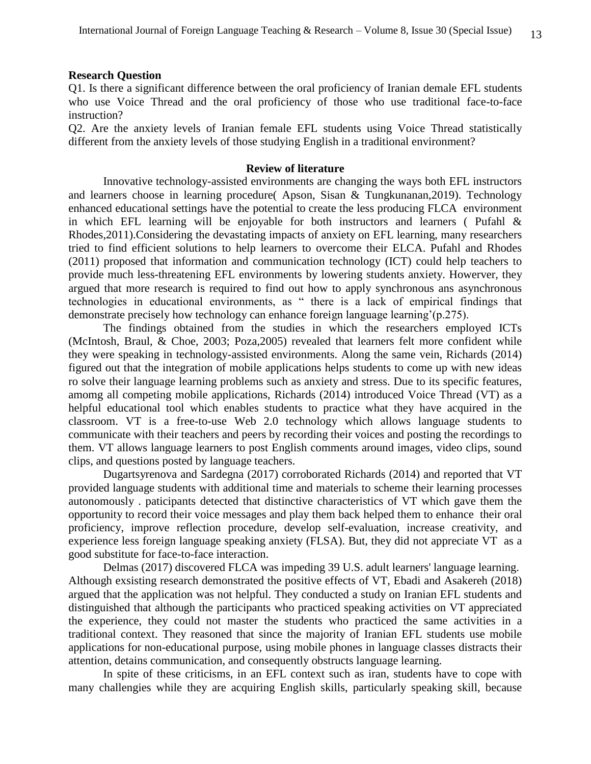#### **Research Question**

Q1. Is there a significant difference between the oral proficiency of Iranian demale EFL students who use Voice Thread and the oral proficiency of those who use traditional face-to-face instruction?

Q2. Are the anxiety levels of Iranian female EFL students using Voice Thread statistically different from the anxiety levels of those studying English in a traditional environment?

#### **Review of literature**

Innovative technology-assisted environments are changing the ways both EFL instructors and learners choose in learning procedure( Apson, Sisan & Tungkunanan,2019). Technology enhanced educational settings have the potential to create the less producing FLCA environment in which EFL learning will be enjoyable for both instructors and learners (Pufahl  $\&$ Rhodes,2011).Considering the devastating impacts of anxiety on EFL learning, many researchers tried to find efficient solutions to help learners to overcome their ELCA. Pufahl and Rhodes (2011) proposed that information and communication technology (ICT) could help teachers to provide much less-threatening EFL environments by lowering students anxiety. Howerver, they argued that more research is required to find out how to apply synchronous ans asynchronous technologies in educational environments, as " there is a lack of empirical findings that demonstrate precisely how technology can enhance foreign language learning'(p.275).

The findings obtained from the studies in which the researchers employed ICTs (McIntosh, Braul, & Choe, 2003; Poza,2005) revealed that learners felt more confident while they were speaking in technology-assisted environments. Along the same vein, Richards (2014) figured out that the integration of mobile applications helps students to come up with new ideas ro solve their language learning problems such as anxiety and stress. Due to its specific features, amomg all competing mobile applications, Richards (2014) introduced Voice Thread (VT) as a helpful educational tool which enables students to practice what they have acquired in the classroom. VT is a free-to-use Web 2.0 technology which allows language students to communicate with their teachers and peers by recording their voices and posting the recordings to them. VT allows language learners to post English comments around images, video clips, sound clips, and questions posted by language teachers.

Dugartsyrenova and Sardegna (2017) corroborated Richards (2014) and reported that VT provided language students with additional time and materials to scheme their learning processes autonomously . paticipants detected that distinctive characteristics of VT which gave them the opportunity to record their voice messages and play them back helped them to enhance their oral proficiency, improve reflection procedure, develop self-evaluation, increase creativity, and experience less foreign language speaking anxiety (FLSA). But, they did not appreciate VT as a good substitute for face-to-face interaction.

Delmas (2017) discovered FLCA was impeding 39 U.S. adult learners' language learning. Although exsisting research demonstrated the positive effects of VT, Ebadi and Asakereh (2018) argued that the application was not helpful. They conducted a study on Iranian EFL students and distinguished that although the participants who practiced speaking activities on VT appreciated the experience, they could not master the students who practiced the same activities in a traditional context. They reasoned that since the majority of Iranian EFL students use mobile applications for non-educational purpose, using mobile phones in language classes distracts their attention, detains communication, and consequently obstructs language learning.

In spite of these criticisms, in an EFL context such as iran, students have to cope with many challengies while they are acquiring English skills, particularly speaking skill, because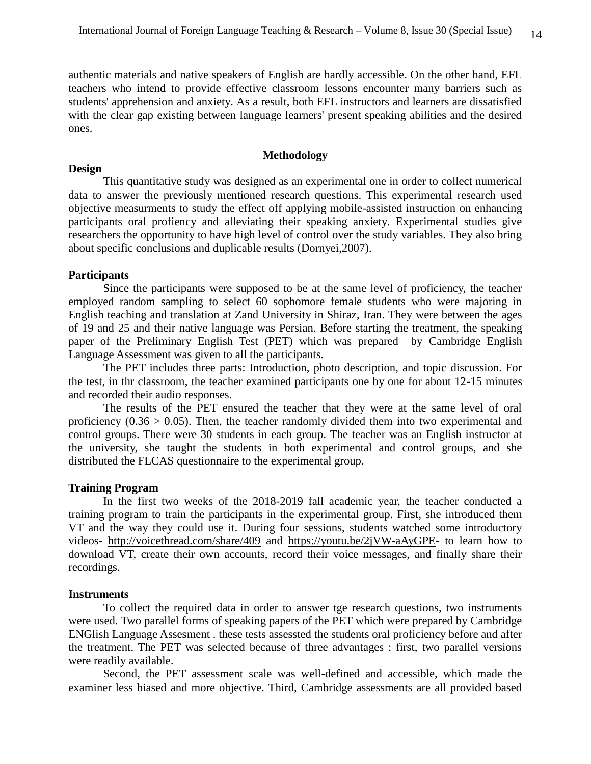authentic materials and native speakers of English are hardly accessible. On the other hand, EFL teachers who intend to provide effective classroom lessons encounter many barriers such as students' apprehension and anxiety. As a result, both EFL instructors and learners are dissatisfied with the clear gap existing between language learners' present speaking abilities and the desired ones.

# **Methodology**

#### **Design**

This quantitative study was designed as an experimental one in order to collect numerical data to answer the previously mentioned research questions. This experimental research used objective measurments to study the effect off applying mobile-assisted instruction on enhancing participants oral profiency and alleviating their speaking anxiety. Experimental studies give researchers the opportunity to have high level of control over the study variables. They also bring about specific conclusions and duplicable results (Dornyei,2007).

### **Participants**

Since the participants were supposed to be at the same level of proficiency, the teacher employed random sampling to select 60 sophomore female students who were majoring in English teaching and translation at Zand University in Shiraz, Iran. They were between the ages of 19 and 25 and their native language was Persian. Before starting the treatment, the speaking paper of the Preliminary English Test (PET) which was prepared by Cambridge English Language Assessment was given to all the participants.

The PET includes three parts: Introduction, photo description, and topic discussion. For the test, in thr classroom, the teacher examined participants one by one for about 12-15 minutes and recorded their audio responses.

The results of the PET ensured the teacher that they were at the same level of oral proficiency  $(0.36 > 0.05)$ . Then, the teacher randomly divided them into two experimental and control groups. There were 30 students in each group. The teacher was an English instructor at the university, she taught the students in both experimental and control groups, and she distributed the FLCAS questionnaire to the experimental group.

### **Training Program**

 In the first two weeks of the 2018-2019 fall academic year, the teacher conducted a training program to train the participants in the experimental group. First, she introduced them VT and the way they could use it. During four sessions, students watched some introductory videos- <http://voicethread.com/share/409> and [https://youtu.be/2jVW-aAyGPE-](https://youtu.be/2jVW-aAyGPE) to learn how to download VT, create their own accounts, record their voice messages, and finally share their recordings.

### **Instruments**

To collect the required data in order to answer tge research questions, two instruments were used. Two parallel forms of speaking papers of the PET which were prepared by Cambridge ENGlish Language Assesment . these tests assessted the students oral proficiency before and after the treatment. The PET was selected because of three advantages : first, two parallel versions were readily available.

Second, the PET assessment scale was well-defined and accessible, which made the examiner less biased and more objective. Third, Cambridge assessments are all provided based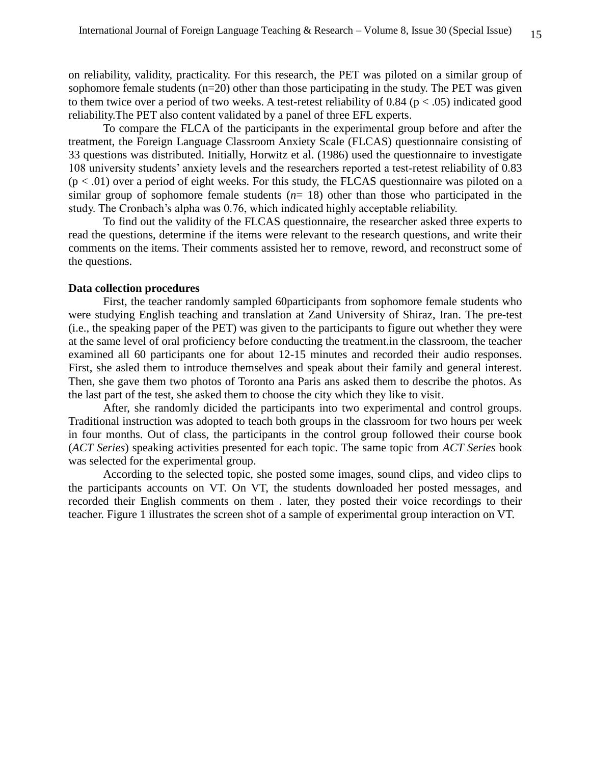on reliability, validity, practicality. For this research, the PET was piloted on a similar group of sophomore female students (n=20) other than those participating in the study. The PET was given to them twice over a period of two weeks. A test-retest reliability of  $0.84$  ( $p < .05$ ) indicated good reliability.The PET also content validated by a panel of three EFL experts.

To compare the FLCA of the participants in the experimental group before and after the treatment, the Foreign Language Classroom Anxiety Scale (FLCAS) questionnaire consisting of 33 questions was distributed. Initially, Horwitz et al. (1986) used the questionnaire to investigate 108 university students' anxiety levels and the researchers reported a test-retest reliability of 0.83  $(p < .01)$  over a period of eight weeks. For this study, the FLCAS questionnaire was piloted on a similar group of sophomore female students (*n*= 18) other than those who participated in the study. The Cronbach's alpha was 0.76, which indicated highly acceptable reliability.

To find out the validity of the FLCAS questionnaire, the researcher asked three experts to read the questions, determine if the items were relevant to the research questions, and write their comments on the items. Their comments assisted her to remove, reword, and reconstruct some of the questions.

### **Data collection procedures**

First, the teacher randomly sampled 60participants from sophomore female students who were studying English teaching and translation at Zand University of Shiraz, Iran. The pre-test (i.e., the speaking paper of the PET) was given to the participants to figure out whether they were at the same level of oral proficiency before conducting the treatment.in the classroom, the teacher examined all 60 participants one for about 12-15 minutes and recorded their audio responses. First, she asled them to introduce themselves and speak about their family and general interest. Then, she gave them two photos of Toronto ana Paris ans asked them to describe the photos. As the last part of the test, she asked them to choose the city which they like to visit.

After, she randomly dicided the participants into two experimental and control groups. Traditional instruction was adopted to teach both groups in the classroom for two hours per week in four months. Out of class, the participants in the control group followed their course book (*ACT Series*) speaking activities presented for each topic. The same topic from *ACT Series* book was selected for the experimental group.

According to the selected topic, she posted some images, sound clips, and video clips to the participants accounts on VT. On VT, the students downloaded her posted messages, and recorded their English comments on them . later, they posted their voice recordings to their teacher. Figure 1 illustrates the screen shot of a sample of experimental group interaction on VT.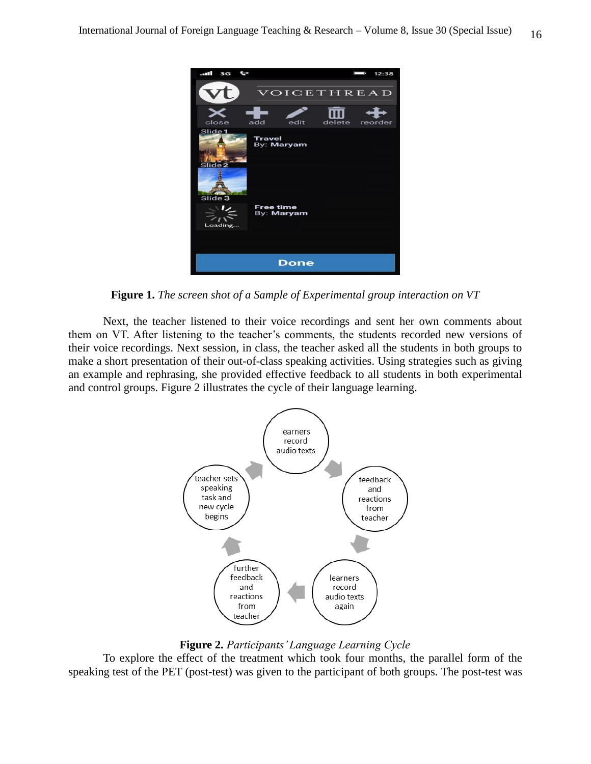

**Figure 1.** *The screen shot of a Sample of Experimental group interaction on VT*

Next, the teacher listened to their voice recordings and sent her own comments about them on VT. After listening to the teacher's comments, the students recorded new versions of their voice recordings. Next session, in class, the teacher asked all the students in both groups to make a short presentation of their out-of-class speaking activities. Using strategies such as giving an example and rephrasing, she provided effective feedback to all students in both experimental and control groups. Figure 2 illustrates the cycle of their language learning.



**Figure 2.** *Participants' Language Learning Cycle*

 To explore the effect of the treatment which took four months, the parallel form of the speaking test of the PET (post-test) was given to the participant of both groups. The post-test was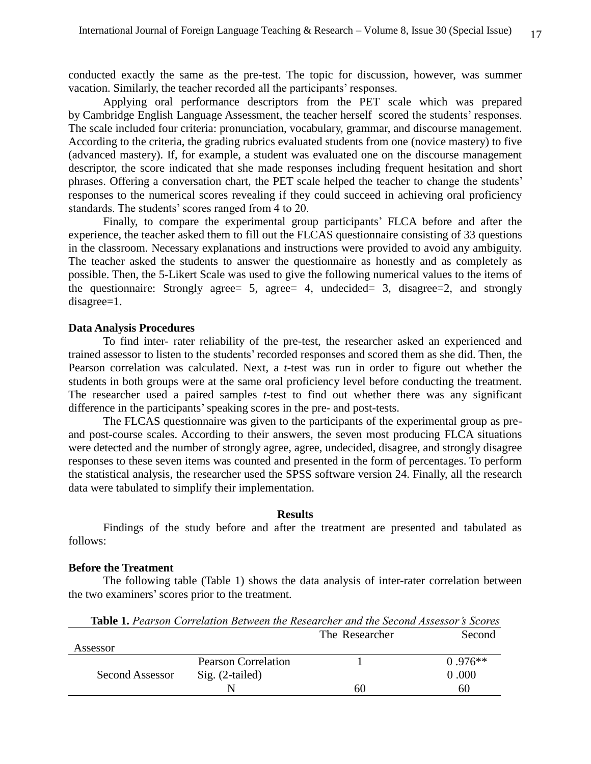conducted exactly the same as the pre-test. The topic for discussion, however, was summer vacation. Similarly, the teacher recorded all the participants' responses.

 Applying oral performance descriptors from the PET scale which was prepared by [Cambridge English Language Assessment,](https://en.wikipedia.org/wiki/Cambridge_English_Language_Assessment) the teacher herself scored the students' responses. The scale included four criteria: pronunciation, vocabulary, grammar, and discourse management. According to the criteria, the grading rubrics evaluated students from one (novice mastery) to five (advanced mastery). If, for example, a student was evaluated one on the discourse management descriptor, the score indicated that she made responses including frequent hesitation and short phrases. Offering a conversation chart, the PET scale helped the teacher to change the students' responses to the numerical scores revealing if they could succeed in achieving oral proficiency standards. The students' scores ranged from 4 to 20.

 Finally, to compare the experimental group participants' FLCA before and after the experience, the teacher asked them to fill out the FLCAS questionnaire consisting of 33 questions in the classroom. Necessary explanations and instructions were provided to avoid any ambiguity. The teacher asked the students to answer the questionnaire as honestly and as completely as possible. Then, the 5-Likert Scale was used to give the following numerical values to the items of the questionnaire: Strongly agree= 5, agree= 4, undecided= 3, disagree=2, and strongly disagree=1.

#### **Data Analysis Procedures**

 To find inter- rater reliability of the pre-test, the researcher asked an experienced and trained assessor to listen to the students' recorded responses and scored them as she did. Then, the Pearson correlation was calculated. Next, a *t*-test was run in order to figure out whether the students in both groups were at the same oral proficiency level before conducting the treatment. The researcher used a paired samples *t*-test to find out whether there was any significant difference in the participants'speaking scores in the pre- and post-tests.

The FLCAS questionnaire was given to the participants of the experimental group as preand post-course scales. According to their answers, the seven most producing FLCA situations were detected and the number of strongly agree, agree, undecided, disagree, and strongly disagree responses to these seven items was counted and presented in the form of percentages. To perform the statistical analysis, the researcher used the SPSS software version 24. Finally, all the research data were tabulated to simplify their implementation.

#### **Results**

Findings of the study before and after the treatment are presented and tabulated as follows:

## **Before the Treatment**

 The following table (Table 1) shows the data analysis of inter-rater correlation between the two examiners'scores prior to the treatment.

**Table 1.** *Pearson Correlation Between the Researcher and the Second Assessor's Scores* The Researcher Second

|                 |                            | THE RESOURCHE | <u>DUUU U</u> |
|-----------------|----------------------------|---------------|---------------|
| Assessor        |                            |               |               |
|                 | <b>Pearson Correlation</b> |               | $0.976**$     |
| Second Assessor | $Sig. (2-tailed)$          |               | 0.000         |
|                 | N                          | 60            | 60            |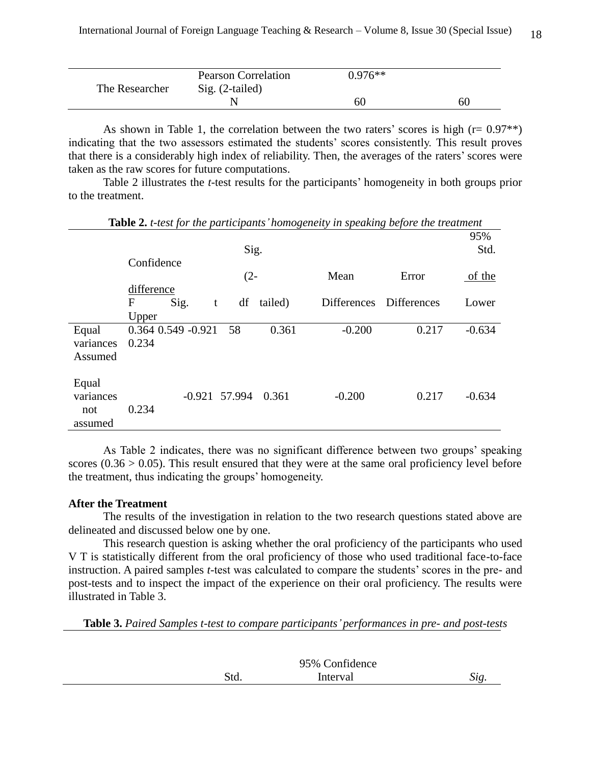|                | <b>Pearson Correlation</b> | $0.976**$ |    |
|----------------|----------------------------|-----------|----|
| The Researcher | $Sig. (2-tailed)$          |           |    |
|                |                            | 60        | 60 |

As shown in Table 1, the correlation between the two raters' scores is high ( $r= 0.97**$ ) indicating that the two assessors estimated the students' scores consistently. This result proves that there is a considerably high index of reliability. Then, the averages of the raters' scores were taken as the raw scores for future computations.

 Table 2 illustrates the *t*-test results for the participants' homogeneity in both groups prior to the treatment.

|                                      |                                   |      |                 | Sig.    |                    |                    | 95%<br>Std. |
|--------------------------------------|-----------------------------------|------|-----------------|---------|--------------------|--------------------|-------------|
|                                      | Confidence<br>difference          |      | $(2 -$          |         | Mean               | Error              | of the      |
|                                      | $\mathbf{F}$<br>Upper             | Sig. | df<br>t         | tailed) | <b>Differences</b> | <b>Differences</b> | Lower       |
| Equal<br>variances<br>Assumed        | $0.364$ $0.549$ $-0.921$<br>0.234 |      | 58              | 0.361   | $-0.200$           | 0.217              | $-0.634$    |
| Equal<br>variances<br>not<br>assumed | 0.234                             |      | $-0.921$ 57.994 | 0.361   | $-0.200$           | 0.217              | $-0.634$    |

**Table 2.** *t-test for the participants' homogeneity in speaking before the treatment*

As Table 2 indicates, there was no significant difference between two groups' speaking scores  $(0.36 > 0.05)$ . This result ensured that they were at the same oral proficiency level before the treatment, thus indicating the groups' homogeneity.

# **After the Treatment**

 The results of the investigation in relation to the two research questions stated above are delineated and discussed below one by one.

 This research question is asking whether the oral proficiency of the participants who used V T is statistically different from the oral proficiency of those who used traditional face-to-face instruction. A paired samples *t*-test was calculated to compare the students' scores in the pre- and post-tests and to inspect the impact of the experience on their oral proficiency. The results were illustrated in Table 3.

**Table 3.** *Paired Samples t-test to compare participants' performances in pre- and post-tests*

|      | 95% Confidence |  |
|------|----------------|--|
| Std. | Interval       |  |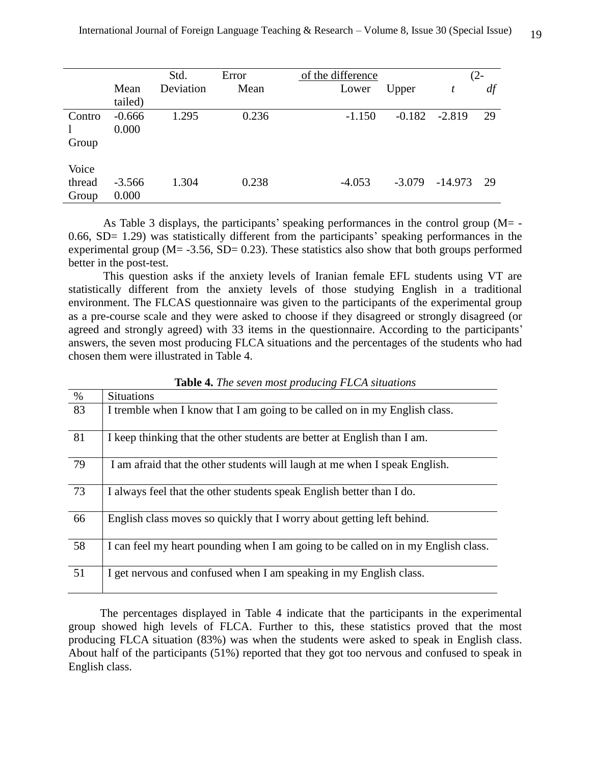|        |          | Std.      | Error | of the difference |          |           | (2- |
|--------|----------|-----------|-------|-------------------|----------|-----------|-----|
|        | Mean     | Deviation | Mean  | Lower             | Upper    | t         | df  |
|        | tailed)  |           |       |                   |          |           |     |
| Contro | $-0.666$ | 1.295     | 0.236 | $-1.150$          | $-0.182$ | $-2.819$  | 29  |
|        | 0.000    |           |       |                   |          |           |     |
| Group  |          |           |       |                   |          |           |     |
| Voice  |          |           |       |                   |          |           |     |
| thread | $-3.566$ | 1.304     | 0.238 | $-4.053$          | $-3.079$ | $-14.973$ | 29  |
| Group  | 0.000    |           |       |                   |          |           |     |

As Table 3 displays, the participants' speaking performances in the control group ( $M = -$ 0.66, SD= 1.29) was statistically different from the participants' speaking performances in the experimental group ( $M = -3.56$ ,  $SD = 0.23$ ). These statistics also show that both groups performed better in the post-test.

 This question asks if the anxiety levels of Iranian female EFL students using VT are statistically different from the anxiety levels of those studying English in a traditional environment. The FLCAS questionnaire was given to the participants of the experimental group as a pre-course scale and they were asked to choose if they disagreed or strongly disagreed (or agreed and strongly agreed) with 33 items in the questionnaire. According to the participants' answers, the seven most producing FLCA situations and the percentages of the students who had chosen them were illustrated in Table 4.

| $\%$ | <b>Situations</b>                                                                 |
|------|-----------------------------------------------------------------------------------|
| 83   | I tremble when I know that I am going to be called on in my English class.        |
| 81   | I keep thinking that the other students are better at English than I am.          |
| 79   | I am afraid that the other students will laugh at me when I speak English.        |
| 73   | I always feel that the other students speak English better than I do.             |
| 66   | English class moves so quickly that I worry about getting left behind.            |
| 58   | I can feel my heart pounding when I am going to be called on in my English class. |
| 51   | I get nervous and confused when I am speaking in my English class.                |

**Table 4.** *The seven most producing FLCA situations*

 The percentages displayed in Table 4 indicate that the participants in the experimental group showed high levels of FLCA. Further to this, these statistics proved that the most producing FLCA situation (83%) was when the students were asked to speak in English class. About half of the participants (51%) reported that they got too nervous and confused to speak in English class.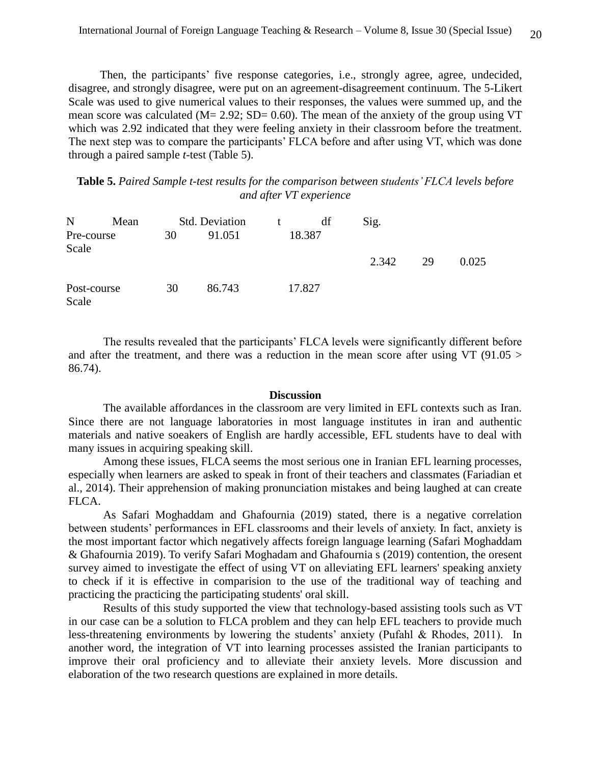Then, the participants' five response categories, i.e., strongly agree, agree, undecided, disagree, and strongly disagree, were put on an agreement-disagreement continuum. The 5-Likert Scale was used to give numerical values to their responses, the values were summed up, and the mean score was calculated ( $M = 2.92$ ; SD= 0.60). The mean of the anxiety of the group using VT which was 2.92 indicated that they were feeling anxiety in their classroom before the treatment. The next step was to compare the participants' FLCA before and after using VT, which was done through a paired sample *t*-test (Table 5).

**Table 5.** *Paired Sample t-test results for the comparison between students' FLCA levels before and after VT experience*

| $N_{\rm}$            | Mean |    | <b>Std. Deviation</b> | $-t$ | df     | Sig.  |    |       |
|----------------------|------|----|-----------------------|------|--------|-------|----|-------|
| Pre-course<br>Scale  |      | 30 | 91.051                |      | 18.387 | 2.342 | 29 | 0.025 |
| Post-course<br>Scale |      | 30 | 86.743                |      | 17.827 |       |    |       |

The results revealed that the participants' FLCA levels were significantly different before and after the treatment, and there was a reduction in the mean score after using VT (91.05 > 86.74).

#### **Discussion**

The available affordances in the classroom are very limited in EFL contexts such as Iran. Since there are not language laboratories in most language institutes in iran and authentic materials and native soeakers of English are hardly accessible, EFL students have to deal with many issues in acquiring speaking skill.

 Among these issues, FLCA seems the most serious one in Iranian EFL learning processes, especially when learners are asked to speak in front of their teachers and classmates (Fariadian et al., 2014). Their apprehension of making pronunciation mistakes and being laughed at can create FLCA.

 As Safari Moghaddam and Ghafournia (2019) stated, there is a negative correlation between students' performances in EFL classrooms and their levels of anxiety. In fact, anxiety is the most important factor which negatively affects foreign language learning (Safari Moghaddam & Ghafournia 2019). To verify Safari Moghadam and Ghafournia s (2019) contention, the oresent survey aimed to investigate the effect of using VT on alleviating EFL learners' speaking anxiety to check if it is effective in comparision to the use of the traditional way of teaching and practicing the practicing the participating students' oral skill.

 Results of this study supported the view that technology-based assisting tools such as VT in our case can be a solution to FLCA problem and they can help EFL teachers to provide much less-threatening environments by lowering the students' anxiety (Pufahl & Rhodes, 2011). In another word, the integration of VT into learning processes assisted the Iranian participants to improve their oral proficiency and to alleviate their anxiety levels. More discussion and elaboration of the two research questions are explained in more details.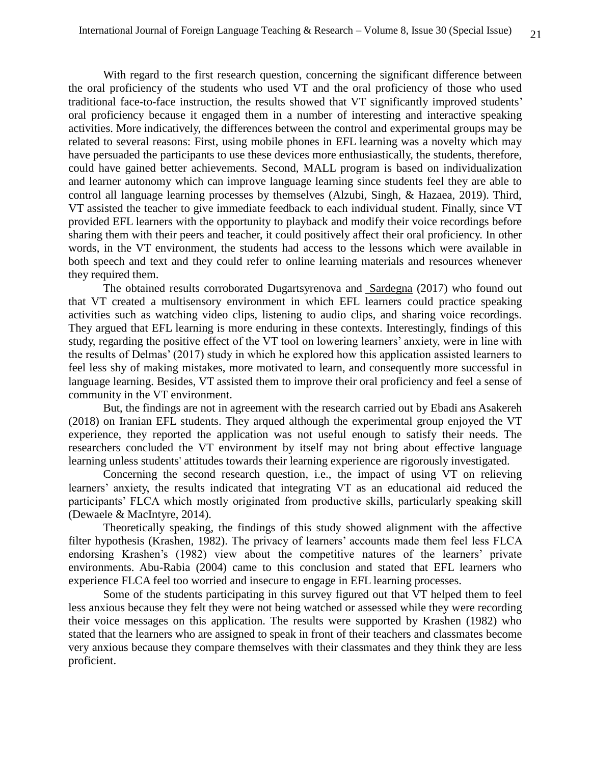With regard to the first research question, concerning the significant difference between the oral proficiency of the students who used VT and the oral proficiency of those who used traditional face-to-face instruction, the results showed that VT significantly improved students' oral proficiency because it engaged them in a number of interesting and interactive speaking activities. More indicatively, the differences between the control and experimental groups may be related to several reasons: First, using mobile phones in EFL learning was a novelty which may have persuaded the participants to use these devices more enthusiastically, the students, therefore, could have gained better achievements. Second, MALL program is based on individualization and learner autonomy which can improve language learning since students feel they are able to control all language learning processes by themselves (Alzubi, Singh, & Hazaea, 2019). Third, VT assisted the teacher to give immediate feedback to each individual student. Finally, since VT provided EFL learners with the opportunity to playback and modify their voice recordings before sharing them with their peers and teacher, it could positively affect their oral proficiency. In other words, in the VT environment, the students had access to the lessons which were available in both speech and text and they could refer to online learning materials and resources whenever they required them.

 The obtained results corroborated Dugartsyrenova and [Sardegna](https://www.cambridge.org/core/search?filters%5BauthorTerms%5D=Veronica%20G.%20Sardegna&eventCode=SE-AU) (2017) who found out that VT created a multisensory environment in which EFL learners could practice speaking activities such as watching video clips, listening to audio clips, and sharing voice recordings. They argued that EFL learning is more enduring in these contexts. Interestingly, findings of this study, regarding the positive effect of the VT tool on lowering learners' anxiety, were in line with the results of Delmas' (2017) study in which he explored how this application assisted learners to feel less shy of making mistakes, more motivated to learn, and consequently more successful in language learning. Besides, VT assisted them to improve their oral proficiency and feel a sense of community in the VT environment.

But, the findings are not in agreement with the research carried out by Ebadi ans Asakereh (2018) on Iranian EFL students. They arqued although the experimental group enjoyed the VT experience, they reported the application was not useful enough to satisfy their needs. The researchers concluded the VT environment by itself may not bring about effective language learning unless students' attitudes towards their learning experience are rigorously investigated.

 Concerning the second research question, i.e., the impact of using VT on relieving learners' anxiety, the results indicated that integrating VT as an educational aid reduced the participants' FLCA which mostly originated from productive skills, particularly speaking skill (Dewaele & MacIntyre, 2014).

 Theoretically speaking, the findings of this study showed alignment with the affective filter hypothesis (Krashen, 1982). The privacy of learners' accounts made them feel less FLCA endorsing Krashen's (1982) view about the competitive natures of the learners' private environments. Abu-Rabia (2004) came to this conclusion and stated that EFL learners who experience FLCA feel too worried and insecure to engage in EFL learning processes.

 Some of the students participating in this survey figured out that VT helped them to feel less anxious because they felt they were not being watched or assessed while they were recording their voice messages on this application. The results were supported by Krashen (1982) who stated that the learners who are assigned to speak in front of their teachers and classmates become very anxious because they compare themselves with their classmates and they think they are less proficient.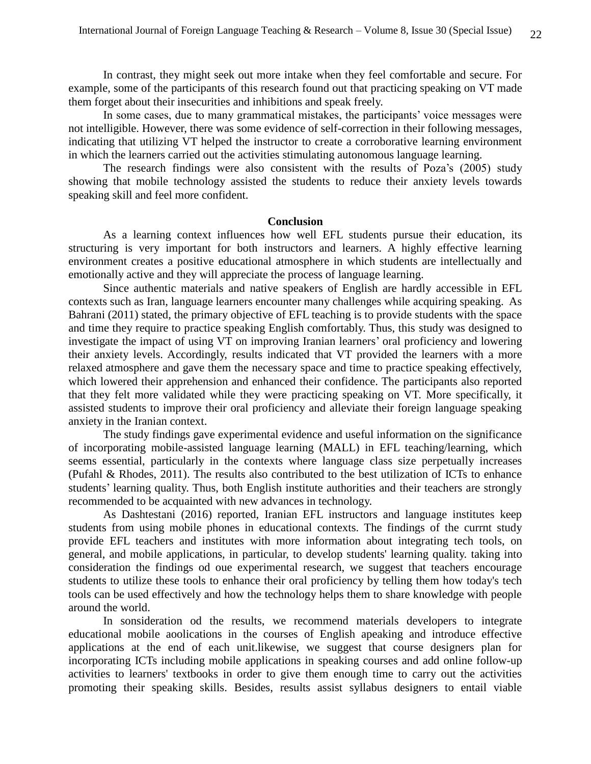In contrast, they might seek out more intake when they feel comfortable and secure. For example, some of the participants of this research found out that practicing speaking on VT made them forget about their insecurities and inhibitions and speak freely.

 In some cases, due to many grammatical mistakes, the participants' voice messages were not intelligible. However, there was some evidence of self-correction in their following messages, indicating that utilizing VT helped the instructor to create a corroborative learning environment in which the learners carried out the activities stimulating autonomous language learning.

 The research findings were also consistent with the results of Poza's (2005) study showing that mobile technology assisted the students to reduce their anxiety levels towards speaking skill and feel more confident.

#### **Conclusion**

 As a learning context influences how well EFL students pursue their education, its structuring is very important for both instructors and learners. A highly effective learning environment creates a positive educational atmosphere in which students are intellectually and emotionally active and they will appreciate the process of language learning.

 Since authentic materials and native speakers of English are hardly accessible in EFL contexts such as Iran, language learners encounter many challenges while acquiring speaking. As Bahrani (2011) stated, the primary objective of EFL teaching is to provide students with the space and time they require to practice speaking English comfortably. Thus, this study was designed to investigate the impact of using VT on improving Iranian learners' oral proficiency and lowering their anxiety levels. Accordingly, results indicated that VT provided the learners with a more relaxed atmosphere and gave them the necessary space and time to practice speaking effectively, which lowered their apprehension and enhanced their confidence. The participants also reported that they felt more validated while they were practicing speaking on VT. More specifically, it assisted students to improve their oral proficiency and alleviate their foreign language speaking anxiety in the Iranian context.

 The study findings gave experimental evidence and useful information on the significance of incorporating mobile-assisted language learning (MALL) in EFL teaching/learning, which seems essential, particularly in the contexts where language class size perpetually increases (Pufahl & Rhodes, 2011). The results also contributed to the best utilization of ICTs to enhance students' learning quality. Thus, both English institute authorities and their teachers are strongly recommended to be acquainted with new advances in technology.

As Dashtestani (2016) reported, Iranian EFL instructors and language institutes keep students from using mobile phones in educational contexts. The findings of the currnt study provide EFL teachers and institutes with more information about integrating tech tools, on general, and mobile applications, in particular, to develop students' learning quality. taking into consideration the findings od oue experimental research, we suggest that teachers encourage students to utilize these tools to enhance their oral proficiency by telling them how today's tech tools can be used effectively and how the technology helps them to share knowledge with people around the world.

In sonsideration od the results, we recommend materials developers to integrate educational mobile aoolications in the courses of English apeaking and introduce effective applications at the end of each unit.likewise, we suggest that course designers plan for incorporating ICTs including mobile applications in speaking courses and add online follow-up activities to learners' textbooks in order to give them enough time to carry out the activities promoting their speaking skills. Besides, results assist syllabus designers to entail viable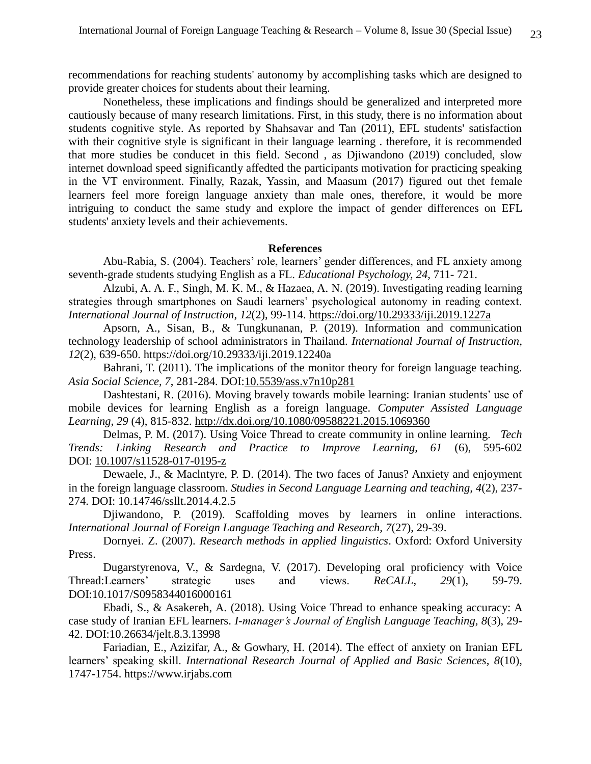recommendations for reaching students' autonomy by accomplishing tasks which are designed to provide greater choices for students about their learning.

Nonetheless, these implications and findings should be generalized and interpreted more cautiously because of many research limitations. First, in this study, there is no information about students cognitive style. As reported by Shahsavar and Tan (2011), EFL students' satisfaction with their cognitive style is significant in their language learning . therefore, it is recommended that more studies be conducet in this field. Second , as Djiwandono (2019) concluded, slow internet download speed significantly affedted the participants motivation for practicing speaking in the VT environment. Finally, Razak, Yassin, and Maasum (2017) figured out thet female learners feel more foreign language anxiety than male ones, therefore, it would be more intriguing to conduct the same study and explore the impact of gender differences on EFL students' anxiety levels and their achievements.

### **References**

Abu-Rabia, S. (2004). Teachers' role, learners' gender differences, and FL anxiety among seventh-grade students studying English as a FL. *Educational Psychology, 24*, 711- 721.

Alzubi, A. A. F., Singh, M. K. M., & Hazaea, A. N. (2019). Investigating reading learning strategies through smartphones on Saudi learners' psychological autonomy in reading context. *International Journal of Instruction*, *12*(2), 99-114.<https://doi.org/10.29333/iji.2019.1227a>

Apsorn, A., Sisan, B., & Tungkunanan, P. (2019). Information and communication technology leadership of school administrators in Thailand. *International Journal of Instruction, 12*(2), 639-650. https://doi.org/10.29333/iji.2019.12240a

Bahrani, T. (2011). The implications of the monitor theory for foreign language teaching. *Asia Social Science, 7*, 281-284. DOI[:10.5539/ass.v7n10p281](https://doi.org/10.5539/ass.v7n10p281)

Dashtestani, R. (2016). Moving bravely towards mobile learning: Iranian students' use of mobile devices for learning English as a foreign language. *Computer Assisted Language Learning, 29* (4), 815-832. <http://dx.doi.org/10.1080/09588221.2015.1069360>

Delmas, P. M. (2017). Using Voice Thread to create community in online learning. *Tech Trends: Linking Research and Practice to Improve Learning, 61* (6), 595-602 DOI: [10.1007/s11528-017-0195-z](http://dx.doi.org/10.1007/s11528-017-0195-z)

Dewaele, J., & Maclntyre, P. D. (2014). The two faces of Janus? Anxiety and enjoyment in the foreign language classroom. *Studies in Second Language Learning and teaching, 4*(2), 237- 274. DOI: 10.14746/ssllt.2014.4.2.5

Djiwandono, P. (2019). Scaffolding moves by learners in online interactions. *International Journal of Foreign Language Teaching and Research, 7*(27), 29-39.

Dornyei. Z. (2007). *Research methods in applied linguistics*. Oxford: Oxford University Press.

Dugarstyrenova, V., & Sardegna, V. (2017). Developing oral proficiency with Voice Thread:Learners' strategic uses and views. *ReCALL, 29*(1), 59-79. DOI:10.1017/S0958344016000161

Ebadi, S., & Asakereh, A. (2018). Using Voice Thread to enhance speaking accuracy: A case study of Iranian EFL learners. *I-manager's Journal of English Language Teaching, 8*(3), 29- 42. DOI:10.26634/jelt.8.3.13998

Fariadian, E., Azizifar, A., & Gowhary, H. (2014). The effect of anxiety on Iranian EFL learners' speaking skill. *International Research Journal of Applied and Basic Sciences, 8*(10), 1747-1754. https://www.irjabs.com